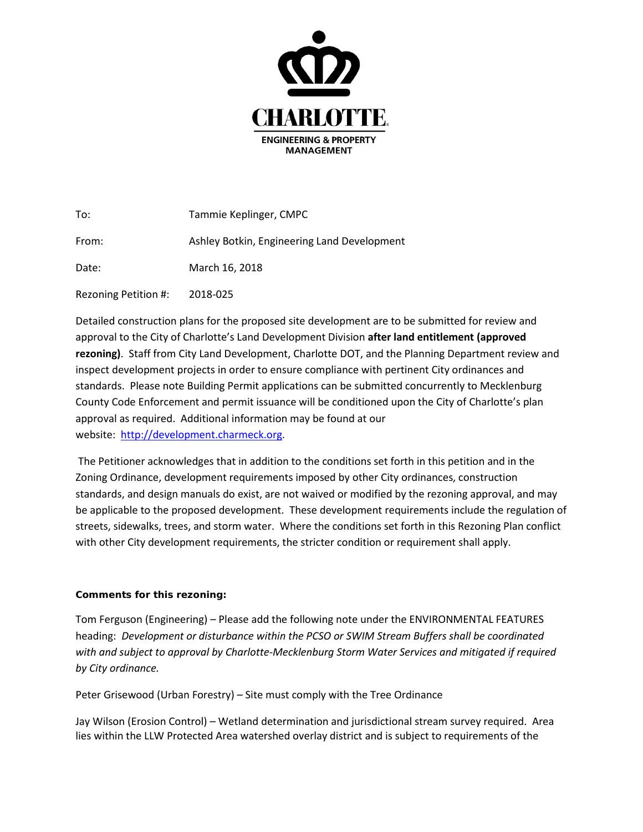

| To:                  | Tammie Keplinger, CMPC                      |
|----------------------|---------------------------------------------|
| From:                | Ashley Botkin, Engineering Land Development |
| Date:                | March 16, 2018                              |
| Rezoning Petition #: | 2018-025                                    |

Detailed construction plans for the proposed site development are to be submitted for review and approval to the City of Charlotte's Land Development Division **after land entitlement (approved rezoning)**. Staff from City Land Development, Charlotte DOT, and the Planning Department review and inspect development projects in order to ensure compliance with pertinent City ordinances and standards. Please note Building Permit applications can be submitted concurrently to Mecklenburg County Code Enforcement and permit issuance will be conditioned upon the City of Charlotte's plan approval as required. Additional information may be found at our website: [http://development.charmeck.org.](http://development.charmeck.org/)

The Petitioner acknowledges that in addition to the conditions set forth in this petition and in the Zoning Ordinance, development requirements imposed by other City ordinances, construction standards, and design manuals do exist, are not waived or modified by the rezoning approval, and may be applicable to the proposed development. These development requirements include the regulation of streets, sidewalks, trees, and storm water. Where the conditions set forth in this Rezoning Plan conflict with other City development requirements, the stricter condition or requirement shall apply.

## **Comments for this rezoning:**

Tom Ferguson (Engineering) – Please add the following note under the ENVIRONMENTAL FEATURES heading: *Development or disturbance within the PCSO or SWIM Stream Buffers shall be coordinated*  with and subject to approval by Charlotte-Mecklenburg Storm Water Services and mitigated if required *by City ordinance.*

Peter Grisewood (Urban Forestry) – Site must comply with the Tree Ordinance

Jay Wilson (Erosion Control) – Wetland determination and jurisdictional stream survey required. Area lies within the LLW Protected Area watershed overlay district and is subject to requirements of the